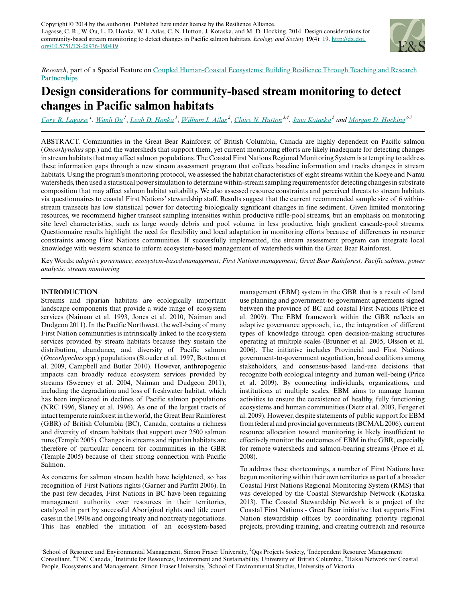

*Research*, part of a Special Feature on [Coupled Human-Coastal Ecosystems: Building Resilience Through Teaching and Research](http://www.ecologyandsociety.org/viewissue.php?sf=95) **[Partnerships](http://www.ecologyandsociety.org/viewissue.php?sf=95)** 

# **Design considerations for community-based stream monitoring to detect changes in Pacific salmon habitats**

[Cory R. Lagasse](mailto:clagasse@sfu.ca)<sup>1</sup>, [Wanli Ou](mailto:wanli_ou@sfu.ca)<sup>1</sup>, [Leah D. Honka](mailto:lhonka@sfu.ca)<sup>1</sup>, [William I. Atlas](mailto:salmon@qqsprojects.org)<sup>2</sup>, [Claire N. Hutton](mailto:chutton@tnc.org)<sup>3,4</sup>, [Jana Kotaska](mailto:jkotaska@icloud.com)<sup>5</sup> and <u>Morgan D. Hockin</u>g<sup>6,7</sup>

ABSTRACT. Communities in the Great Bear Rainforest of British Columbia, Canada are highly dependent on Pacific salmon (*Oncorhynchus* spp.) and the watersheds that support them, yet current monitoring efforts are likely inadequate for detecting changes in stream habitats that may affect salmon populations. The Coastal First Nations Regional Monitoring System is attempting to address these information gaps through a new stream assessment program that collects baseline information and tracks changes in stream habitats. Using the program's monitoring protocol, we assessed the habitat characteristics of eight streams within the Koeye and Namu watersheds, then used a statistical power simulation to determine within-stream sampling requirements for detecting changes in substrate composition that may affect salmon habitat suitability. We also assessed resource constraints and perceived threats to stream habitats via questionnaires to coastal First Nations' stewardship staff. Results suggest that the current recommended sample size of 6 withinstream transects has low statistical power for detecting biologically significant changes in fine sediment. Given limited monitoring resources, we recommend higher transect sampling intensities within productive riffle-pool streams, but an emphasis on monitoring site level characteristics, such as large woody debris and pool volume, in less productive, high gradient cascade-pool streams. Questionnaire results highlight the need for flexibility and local adaptation in monitoring efforts because of differences in resource constraints among First Nations communities. If successfully implemented, the stream assessment program can integrate local knowledge with western science to inform ecosystem-based management of watersheds within the Great Bear Rainforest.

Key Words: *adaptive governance; ecosystem-based management; First Nations management; Great Bear Rainforest; Pacific salmon; power analysis; stream monitoring*

### **INTRODUCTION**

Streams and riparian habitats are ecologically important landscape components that provide a wide range of ecosystem services (Naiman et al. 1993, Jones et al. 2010, Naiman and Dudgeon 2011). In the Pacific Northwest, the well-being of many First Nation communities is intrinsically linked to the ecosystem services provided by stream habitats because they sustain the distribution, abundance, and diversity of Pacific salmon (*Oncorhynchus* spp.) populations (Stouder et al. 1997, Bottom et al. 2009, Campbell and Butler 2010). However, anthropogenic impacts can broadly reduce ecosystem services provided by streams (Sweeney et al. 2004, Naiman and Dudgeon 2011), including the degradation and loss of freshwater habitat, which has been implicated in declines of Pacific salmon populations (NRC 1996, Slaney et al. 1996). As one of the largest tracts of intact temperate rainforest in the world, the Great Bear Rainforest (GBR) of British Columbia (BC), Canada, contains a richness and diversity of stream habitats that support over 2500 salmon runs (Temple 2005). Changes in streams and riparian habitats are therefore of particular concern for communities in the GBR (Temple 2005) because of their strong connection with Pacific Salmon.

As concerns for salmon stream health have heightened, so has recognition of First Nations rights (Garner and Parfitt 2006). In the past few decades, First Nations in BC have been regaining management authority over resources in their territories, catalyzed in part by successful Aboriginal rights and title court cases in the 1990s and ongoing treaty and nontreaty negotiations. This has enabled the initiation of an ecosystem-based

management (EBM) system in the GBR that is a result of land use planning and government-to-government agreements signed between the province of BC and coastal First Nations (Price et al. 2009). The EBM framework within the GBR reflects an adaptive governance approach, i.e., the integration of different types of knowledge through open decision-making structures operating at multiple scales (Brunner et al. 2005, Olsson et al. 2006). The initiative includes Provincial and First Nations government-to-government negotiation, broad coalitions among stakeholders, and consensus-based land-use decisions that recognize both ecological integrity and human well-being (Price et al. 2009). By connecting individuals, organizations, and institutions at multiple scales, EBM aims to manage human activities to ensure the coexistence of healthy, fully functioning ecosystems and human communities (Dietz et al. 2003, Fenger et al. 2009). However, despite statements of public support for EBM from federal and provincial governments (BCMAL 2006), current resource allocation toward monitoring is likely insufficient to effectively monitor the outcomes of EBM in the GBR, especially for remote watersheds and salmon-bearing streams (Price et al. 2008).

To address these shortcomings, a number of First Nations have begun monitoring within their own territories as part of a broader Coastal First Nations Regional Monitoring System (RMS) that was developed by the Coastal Stewardship Network (Kotaska 2013). The Coastal Stewardship Network is a project of the Coastal First Nations - Great Bear initiative that supports First Nation stewardship offices by coordinating priority regional projects, providing training, and creating outreach and resource

<sup>1</sup>School of Resource and Environmental Management, Simon Fraser University, <sup>2</sup>Qqs Projects Society, <sup>3</sup>Independent Resource Management Consultant, <sup>4</sup>TNC Canada, <sup>5</sup>Institute for Resources, Environment and Sustainability, University of British Columbia, <sup>6</sup>Hakai Network for Coastal People, Ecosystems and Management, Simon Fraser University, <sup>7</sup>School of Environmental Studies, University of Victoria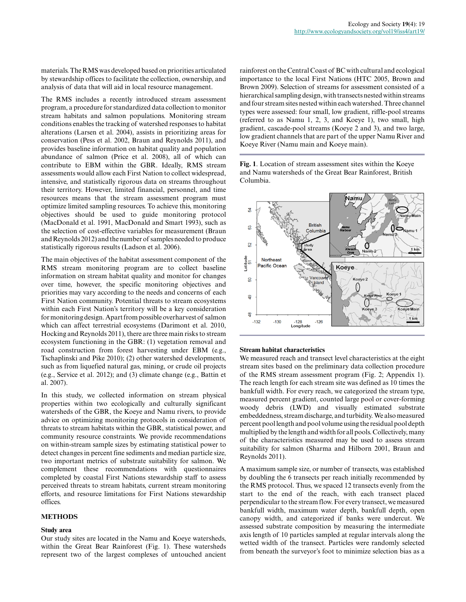materials. The RMS was developed based on priorities articulated by stewardship offices to facilitate the collection, ownership, and analysis of data that will aid in local resource management.

The RMS includes a recently introduced stream assessment program, a procedure for standardized data collection to monitor stream habitats and salmon populations. Monitoring stream conditions enables the tracking of watershed responses to habitat alterations (Larsen et al. 2004), assists in prioritizing areas for conservation (Pess et al. 2002, Braun and Reynolds 2011), and provides baseline information on habitat quality and population abundance of salmon (Price et al. 2008), all of which can contribute to EBM within the GBR. Ideally, RMS stream assessments would allow each First Nation to collect widespread, intensive, and statistically rigorous data on streams throughout their territory. However, limited financial, personnel, and time resources means that the stream assessment program must optimize limited sampling resources. To achieve this, monitoring objectives should be used to guide monitoring protocol (MacDonald et al. 1991, MacDonald and Smart 1993), such as the selection of cost-effective variables for measurement (Braun and Reynolds 2012) and the number of samples needed to produce statistically rigorous results (Ladson et al. 2006).

The main objectives of the habitat assessment component of the RMS stream monitoring program are to collect baseline information on stream habitat quality and monitor for changes over time, however, the specific monitoring objectives and priorities may vary according to the needs and concerns of each First Nation community. Potential threats to stream ecosystems within each First Nation's territory will be a key consideration for monitoring design. Apart from possible overharvest of salmon which can affect terrestrial ecosystems (Darimont et al. 2010, Hocking and Reynolds 2011), there are three main risks to stream ecosystem functioning in the GBR: (1) vegetation removal and road construction from forest harvesting under EBM (e.g., Tschaplinski and Pike 2010); (2) other watershed developments, such as from liquefied natural gas, mining, or crude oil projects (e.g., Service et al. 2012); and (3) climate change (e.g., Battin et al. 2007).

In this study, we collected information on stream physical properties within two ecologically and culturally significant watersheds of the GBR, the Koeye and Namu rivers, to provide advice on optimizing monitoring protocols in consideration of threats to stream habitats within the GBR, statistical power, and community resource constraints. We provide recommendations on within-stream sample sizes by estimating statistical power to detect changes in percent fine sediments and median particle size, two important metrics of substrate suitability for salmon. We complement these recommendations with questionnaires completed by coastal First Nations stewardship staff to assess perceived threats to stream habitats, current stream monitoring efforts, and resource limitations for First Nations stewardship offices.

#### **METHODS**

#### **Study area**

Our study sites are located in the Namu and Koeye watersheds, within the Great Bear Rainforest (Fig. 1). These watersheds represent two of the largest complexes of untouched ancient rainforest on the Central Coast of BC with cultural and ecological importance to the local First Nations (HTC 2005, Brown and Brown 2009). Selection of streams for assessment consisted of a hierarchical sampling design, with transects nested within streams and four stream sites nested within each watershed. Three channel types were assessed: four small, low gradient, riffle-pool streams (referred to as Namu 1, 2, 3, and Koeye 1), two small, high gradient, cascade-pool streams (Koeye 2 and 3), and two large, low gradient channels that are part of the upper Namu River and Koeye River (Namu main and Koeye main).

**Fig. 1**. Location of stream assessment sites within the Koeye and Namu watersheds of the Great Bear Rainforest, British Columbia.



#### **Stream habitat characteristics**

We measured reach and transect level characteristics at the eight stream sites based on the preliminary data collection procedure of the RMS stream assessment program (Fig. 2; Appendix 1). The reach length for each stream site was defined as 10 times the bankfull width. For every reach, we categorized the stream type, measured percent gradient, counted large pool or cover-forming woody debris (LWD) and visually estimated substrate embeddedness, stream discharge, and turbidity. We also measured percent pool length and pool volume using the residual pool depth multiplied by the length and width for all pools. Collectively, many of the characteristics measured may be used to assess stream suitability for salmon (Sharma and Hilborn 2001, Braun and Reynolds 2011).

A maximum sample size, or number of transects, was established by doubling the 6 transects per reach initially recommended by the RMS protocol. Thus, we spaced 12 transects evenly from the start to the end of the reach, with each transect placed perpendicular to the stream flow. For every transect, we measured bankfull width, maximum water depth, bankfull depth, open canopy width, and categorized if banks were undercut. We assessed substrate composition by measuring the intermediate axis length of 10 particles sampled at regular intervals along the wetted width of the transect. Particles were randomly selected from beneath the surveyor's foot to minimize selection bias as a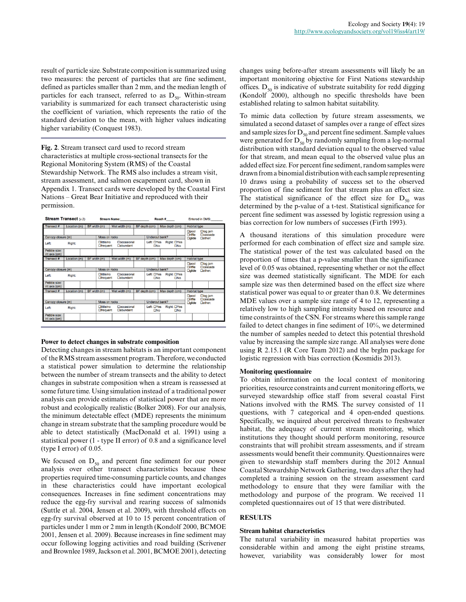result of particle size. Substrate composition is summarized using two measures: the percent of particles that are fine sediment, defined as particles smaller than 2 mm, and the median length of particles for each transect, referred to as  $D_{50}$ . Within-stream variability is summarized for each transect characteristic using the coefficient of variation, which represents the ratio of the standard deviation to the mean, with higher values indicating higher variability (Conquest 1983).

**Fig. 2**. Stream transect card used to record stream characteristics at multiple cross-sectional transects for the Regional Monitoring System (RMS) of the Coastal Stewardship Network. The RMS also includes a stream visit, stream assessment, and salmon escapement card, shown in Appendix 1. Transect cards were developed by the Coastal First Nations – Great Bear Initiative and reproduced with their permission.

| <b>Stream Transect (v.2)</b>  | Stream Name: <b>Example 2018</b> |              |                                                                                   |                                        | Reach# |                                                        |                                                     |                                                        |                        | Entered in DMS:         |                                                                    |                                    |  |  |  |
|-------------------------------|----------------------------------|--------------|-----------------------------------------------------------------------------------|----------------------------------------|--------|--------------------------------------------------------|-----------------------------------------------------|--------------------------------------------------------|------------------------|-------------------------|--------------------------------------------------------------------|------------------------------------|--|--|--|
| Transect#                     | Location (m)                     |              | BF width (m)<br>Wet width (m)                                                     |                                        |        |                                                        | BF depth (cm)<br>Max depth (cm)                     |                                                        |                        |                         |                                                                    | <b>Habitat type</b>                |  |  |  |
|                               |                                  |              |                                                                                   |                                        |        |                                                        | Undercut bank?                                      |                                                        | <b>Dool</b><br>□riffle |                         | $\Box$ log jam<br><b>Deascade</b>                                  |                                    |  |  |  |
| Canopy closure (m)            |                                  |              | Moss on rocks                                                                     |                                        |        |                                                        |                                                     |                                                        |                        | <b>Oglide</b>           |                                                                    | Dother:                            |  |  |  |
| Left:                         | Right:                           |              | $D$ little/no<br>Doccasional<br><b>Ofrequent</b><br><b>Dabundant</b>              |                                        |        | Left: UYes Right: UYes<br>$\square$ No<br>$\square$ No |                                                     |                                                        |                        |                         |                                                                    |                                    |  |  |  |
| Pebble size:<br>int axis (cm) |                                  |              |                                                                                   |                                        |        |                                                        |                                                     |                                                        |                        |                         |                                                                    |                                    |  |  |  |
| Transect #                    | Location (m)                     | BF width (m) |                                                                                   | Wet width (m)                          |        |                                                        | BF depth (cm)<br>Max depth (cm)                     |                                                        | <b>Habitat type</b>    |                         |                                                                    |                                    |  |  |  |
|                               |                                  |              |                                                                                   |                                        |        |                                                        |                                                     |                                                        |                        |                         | <b>Dool</b><br>$\Box$ log jam<br><b>□riffle</b><br><b>Deascade</b> |                                    |  |  |  |
| Canopy closure (m)            |                                  |              | Moss on rocks                                                                     |                                        |        |                                                        | Undercut bank?                                      |                                                        |                        | <b>D</b> glide          |                                                                    | Dother:                            |  |  |  |
| Left:                         | Right:                           |              | <b>Floccasional</b><br><b>Filittle/no</b><br><b>Ofrequent</b><br><b>Dabundant</b> |                                        |        |                                                        | Left: OYes Right: OYes<br>$\Box$ No<br>$\square$ No |                                                        |                        |                         |                                                                    |                                    |  |  |  |
| Pebble size:<br>int axis (cm) |                                  |              |                                                                                   |                                        |        |                                                        |                                                     |                                                        |                        |                         |                                                                    |                                    |  |  |  |
| <b>Transect#</b>              | Location (m)                     | BF width (m) |                                                                                   | Wet width (m)                          |        |                                                        | BF depth (cm)<br>Max depth (cm)                     |                                                        |                        |                         | <b>Habitat type</b>                                                |                                    |  |  |  |
|                               |                                  |              |                                                                                   |                                        |        |                                                        |                                                     |                                                        |                        | <b>Opool</b><br>□riffle |                                                                    | $\Box$ log jam<br><b>D</b> cascade |  |  |  |
| Canopy closure (m)            |                                  |              | <b>Moss on rocks</b>                                                              |                                        |        |                                                        | Undercut bank?                                      |                                                        |                        | $\Box$ glide            |                                                                    | Dother:                            |  |  |  |
| Left:                         | Right:                           |              | $D$ little/no<br><b>Ofrequent</b>                                                 | <b>Doccasional</b><br><b>Dabundant</b> |        |                                                        |                                                     | Left: OYes Right: OYes<br>$\square$ No<br>$\square$ No |                        |                         |                                                                    |                                    |  |  |  |
| Pebble size:<br>int axis (cm) |                                  |              |                                                                                   |                                        |        |                                                        |                                                     |                                                        |                        |                         |                                                                    |                                    |  |  |  |

#### **Power to detect changes in substrate composition**

Detecting changes in stream habitats is an important component of the RMS stream assessment program. Therefore, we conducted a statistical power simulation to determine the relationship between the number of stream transects and the ability to detect changes in substrate composition when a stream is reassessed at some future time. Using simulation instead of a traditional power analysis can provide estimates of statistical power that are more robust and ecologically realistic (Bolker 2008). For our analysis, the minimum detectable effect (MDE) represents the minimum change in stream substrate that the sampling procedure would be able to detect statistically (MacDonald et al. 1991) using a statistical power (1 - type II error) of 0.8 and a significance level (type I error) of 0.05.

We focused on  $D_{50}$  and percent fine sediment for our power analysis over other transect characteristics because these properties required time-consuming particle counts, and changes in these characteristics could have important ecological consequences. Increases in fine sediment concentrations may reduce the egg-fry survival and rearing success of salmonids (Suttle et al. 2004, Jensen et al. 2009), with threshold effects on egg-fry survival observed at 10 to 15 percent concentration of particles under 1 mm or 2 mm in length (Kondolf 2000, BCMOE 2001, Jensen et al. 2009). Because increases in fine sediment may occur following logging activities and road building (Scrivener and Brownlee 1989, Jackson et al. 2001, BCMOE 2001), detecting changes using before-after stream assessments will likely be an important monitoring objective for First Nations stewardship offices.  $D_{50}$  is indicative of substrate suitability for redd digging (Kondolf 2000), although no specific thresholds have been established relating to salmon habitat suitability.

To mimic data collection by future stream assessments, we simulated a second dataset of samples over a range of effect sizes and sample sizes for  $D_{50}$  and percent fine sediment. Sample values were generated for  $D_{50}$  by randomly sampling from a log-normal distribution with standard deviation equal to the observed value for that stream, and mean equal to the observed value plus an added effect size. For percent fine sediment, random samples were drawn from a binomial distribution with each sample representing 10 draws using a probability of success set to the observed proportion of fine sediment for that stream plus an effect size. The statistical significance of the effect size for  $D_{50}$  was determined by the p-value of a t-test. Statistical significance for percent fine sediment was assessed by logistic regression using a bias correction for low numbers of successes (Firth 1993).

A thousand iterations of this simulation procedure were performed for each combination of effect size and sample size. The statistical power of the test was calculated based on the proportion of times that a p-value smaller than the significance level of 0.05 was obtained, representing whether or not the effect size was deemed statistically significant. The MDE for each sample size was then determined based on the effect size where statistical power was equal to or greater than 0.8. We determines MDE values over a sample size range of 4 to 12, representing a relatively low to high sampling intensity based on resource and time constraints of the CSN. For streams where this sample range failed to detect changes in fine sediment of 10%, we determined the number of samples needed to detect this potential threshold value by increasing the sample size range. All analyses were done using R 2.15.1 (R Core Team 2012) and the brglm package for logistic regression with bias correction (Kosmidis 2013).

#### **Monitoring questionnaire**

To obtain information on the local context of monitoring priorities, resource constraints and current monitoring efforts, we surveyed stewardship office staff from several coastal First Nations involved with the RMS. The survey consisted of 11 questions, with 7 categorical and 4 open-ended questions. Specifically, we inquired about perceived threats to freshwater habitat, the adequacy of current stream monitoring, which institutions they thought should perform monitoring, resource constraints that will prohibit stream assessments, and if stream assessments would benefit their community. Questionnaires were given to stewardship staff members during the 2012 Annual Coastal Stewardship Network Gathering, two days after they had completed a training session on the stream assessment card methodology to ensure that they were familiar with the methodology and purpose of the program. We received 11 completed questionnaires out of 15 that were distributed.

#### **RESULTS**

#### **Stream habitat characteristics**

The natural variability in measured habitat properties was considerable within and among the eight pristine streams, however, variability was considerably lower for most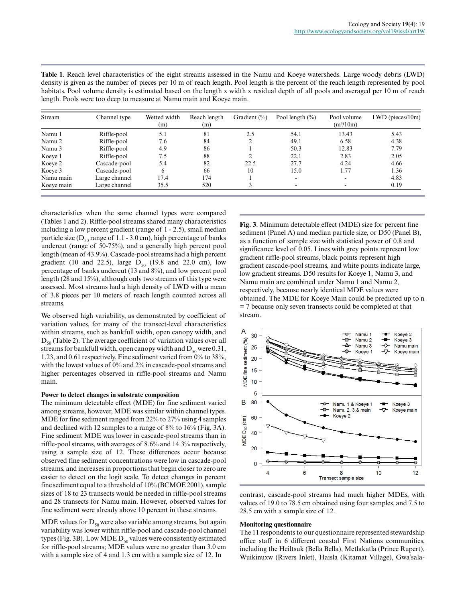| Stream     | Channel type  | Wetted width<br>(m) | Reach length<br>(m) | Gradient $(\%)$ | Pool length $(\% )$ | Pool volume<br>$(m^3/10m)$ | $LWD$ (pieces/10m) |
|------------|---------------|---------------------|---------------------|-----------------|---------------------|----------------------------|--------------------|
| Namu 1     | Riffle-pool   | 5.1                 | 81                  | 2.5             | 54.1                | 13.43                      | 5.43               |
| Namu 2     | Riffle-pool   | 7.6                 | 84                  |                 | 49.1                | 6.58                       | 4.38               |
| Namu 3     | Riffle-pool   | 4.9                 | 86                  |                 | 50.3                | 12.83                      | 7.79               |
| Koeye 1    | Riffle-pool   | 7.5                 | 88                  |                 | 22.1                | 2.83                       | 2.05               |
| Koeye 2    | Cascade-pool  | 5.4                 | 82                  | 22.5            | 27.7                | 4.24                       | 4.66               |
| Koeye 3    | Cascade-pool  | 6                   | 66                  | 10              | 15.0                | 1.77                       | 1.36               |
| Namu main  | Large channel | 17.4                | 174                 |                 | ۰.                  | $\overline{\phantom{a}}$   | 4.83               |
| Koeye main | Large channel | 35.5                | 520                 |                 |                     |                            | 0.19               |

**Table 1**. Reach level characteristics of the eight streams assessed in the Namu and Koeye watersheds. Large woody debris (LWD) density is given as the number of pieces per 10 m of reach length. Pool length is the percent of the reach length represented by pool habitats. Pool volume density is estimated based on the length x width x residual depth of all pools and averaged per 10 m of reach length. Pools were too deep to measure at Namu main and Koeye main.

characteristics when the same channel types were compared (Tables 1 and 2). Riffle-pool streams shared many characteristics including a low percent gradient (range of 1 - 2.5), small median particle size ( $D_{50}$  range of 1.1 - 3.0 cm), high percentage of banks undercut (range of 50-75%), and a generally high percent pool length (mean of 43.9%). Cascade-pool streams had a high percent gradient (10 and 22.5), large  $D_{50}$  (19.8 and 22.0 cm), low percentage of banks undercut (13 and 8%), and low percent pool length (28 and 15%), although only two streams of this type were assessed. Most streams had a high density of LWD with a mean of 3.8 pieces per 10 meters of reach length counted across all streams.

We observed high variability, as demonstrated by coefficient of variation values, for many of the transect-level characteristics within streams, such as bankfull width, open canopy width, and  $D_{50}$  (Table 2). The average coefficient of variation values over all streams for bankfull width, open canopy width and  $D_{50}$  were 0.31, 1.23, and 0.61 respectively. Fine sediment varied from 0% to 38%, with the lowest values of 0% and 2% in cascade-pool streams and higher percentages observed in riffle-pool streams and Namu main.

#### **Power to detect changes in substrate composition**

The minimum detectable effect (MDE) for fine sediment varied among streams, however, MDE was similar within channel types. MDE for fine sediment ranged from 22% to 27% using 4 samples and declined with 12 samples to a range of 8% to 16% (Fig. 3A). Fine sediment MDE was lower in cascade-pool streams than in riffle-pool streams, with averages of 8.6% and 14.3% respectively, using a sample size of 12. These differences occur because observed fine sediment concentrations were low in cascade-pool streams, and increases in proportions that begin closer to zero are easier to detect on the logit scale. To detect changes in percent fine sediment equal to a threshold of 10% (BCMOE 2001), sample sizes of 18 to 23 transects would be needed in riffle-pool streams and 28 transects for Namu main. However, observed values for fine sediment were already above 10 percent in these streams.

MDE values for  $D_{50}$  were also variable among streams, but again variability was lower within riffle-pool and cascade-pool channel types (Fig. 3B). Low MDE  $D_{50}$  values were consistently estimated for riffle-pool streams; MDE values were no greater than 3.0 cm with a sample size of 4 and 1.3 cm with a sample size of 12. In

**Fig. 3**. Minimum detectable effect (MDE) size for percent fine sediment (Panel A) and median particle size, or D50 (Panel B), as a function of sample size with statistical power of 0.8 and significance level of 0.05. Lines with grey points represent low gradient riffle-pool streams, black points represent high gradient cascade-pool streams, and white points indicate large, low gradient streams. D50 results for Koeye 1, Namu 3, and Namu main are combined under Namu 1 and Namu 2, respectively, because nearly identical MDE values were obtained. The MDE for Koeye Main could be predicted up to n = 7 because only seven transects could be completed at that stream.



contrast, cascade-pool streams had much higher MDEs, with values of 19.0 to 78.5 cm obtained using four samples, and 7.5 to 28.5 cm with a sample size of 12.

#### **Monitoring questionnaire**

The 11 respondents to our questionnaire represented stewardship office staff in 6 different coastal First Nations communities, including the Heiltsuk (Bella Bella), Metlakatla (Prince Rupert), Wuikinuxw (Rivers Inlet), Haisla (Kitamat Village), Gwa'sala-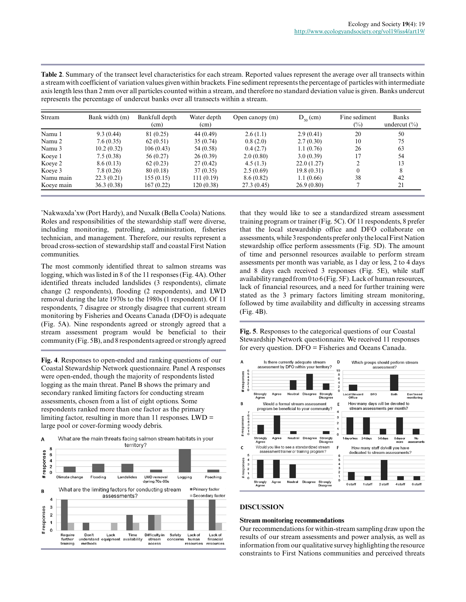| Stream     | represents the percentage of undereat banks over an transcets within a stream.<br>Bank width (m) | Bankfull depth | Water depth | Open canopy (m) | $D_{50}$ (cm) | Fine sediment | Banks            |
|------------|--------------------------------------------------------------------------------------------------|----------------|-------------|-----------------|---------------|---------------|------------------|
|            |                                                                                                  | (cm)           | (cm)        |                 |               | $(\%)$        | undercut $(\% )$ |
| Namu 1     | 9.3(0.44)                                                                                        | 81 (0.25)      | 44 (0.49)   | 2.6(1.1)        | 2.9(0.41)     | 20            | 50               |
| Namu 2     | 7.6(0.35)                                                                                        | 62(0.51)       | 35(0.74)    | 0.8(2.0)        | 2.7(0.30)     | 10            | 75               |
| Namu 3     | 10.2(0.32)                                                                                       | 106(0.43)      | 54 (0.58)   | 0.4(2.7)        | 1.1(0.76)     | 26            | 63               |
| Koeye 1    | 7.5(0.38)                                                                                        | 56 (0.27)      | 26(0.39)    | 2.0(0.80)       | 3.0(0.39)     | 17            | 54               |
| Koeye 2    | 8.6(0.13)                                                                                        | 62(0.23)       | 27(0.42)    | 4.5(1.3)        | 22.0(1.27)    | ጎ             | 13               |
| Koeve 3    | 7.8(0.26)                                                                                        | 80 (0.18)      | 37(0.35)    | 2.5(0.69)       | 19.8(0.31)    | $\theta$      | 8                |
| Namu main  | 22.3(0.21)                                                                                       | 155(0.15)      | 111(0.19)   | 8.6(0.82)       | 1.1(0.66)     | 38            | 42               |
| Koeve main | 36.3(0.38)                                                                                       | 167(0.22)      | 120(0.38)   | 27.3(0.45)      | 26.9(0.80)    |               | 21               |

**Table 2**. Summary of the transect level characteristics for each stream. Reported values represent the average over all transects within a stream with coefficient of variation values given within brackets. Fine sediment represents the percentage of particles with intermediate axis length less than 2 mm over all particles counted within a stream, and therefore no standard deviation value is given. Banks undercut represents the percentage of undercut banks over all transects within a stream.

'Nakwaxda'xw (Port Hardy), and Nuxalk (Bella Coola) Nations. Roles and responsibilities of the stewardship staff were diverse, including monitoring, patrolling, administration, fisheries technician, and management. Therefore, our results represent a broad cross-section of stewardship staff and coastal First Nation communities.

The most commonly identified threat to salmon streams was logging, which was listed in 8 of the 11 responses (Fig. 4A). Other identified threats included landslides (3 respondents), climate change (2 respondents), flooding (2 respondents), and LWD removal during the late 1970s to the 1980s (1 respondent). Of 11 respondents, 7 disagree or strongly disagree that current stream monitoring by Fisheries and Oceans Canada (DFO) is adequate (Fig. 5A). Nine respondents agreed or strongly agreed that a stream assessment program would be beneficial to their community (Fig. 5B), and 8 respondents agreed or strongly agreed

**Fig. 4**. Responses to open-ended and ranking questions of our Coastal Stewardship Network questionnaire. Panel A responses were open-ended, though the majority of respondents listed logging as the main threat. Panel B shows the primary and secondary ranked limiting factors for conducting stream assessments, chosen from a list of eight options. Some respondents ranked more than one factor as the primary limiting factor, resulting in more than 11 responses. LWD = large pool or cover-forming woody debris.



that they would like to see a standardized stream assessment training program or trainer (Fig. 5C). Of 11 respondents, 8 prefer that the local stewardship office and DFO collaborate on assessments, while 3 respondents prefer only the local First Nation stewardship office perform assessments (Fig. 5D). The amount of time and personnel resources available to perform stream assessments per month was variable, as 1 day or less, 2 to 4 days and 8 days each received 3 responses (Fig. 5E), while staff availability ranged from 0 to 6 (Fig. 5F). Lack of human resources, lack of financial resources, and a need for further training were stated as the 3 primary factors limiting stream monitoring, followed by time availability and difficulty in accessing streams (Fig. 4B).

**Fig. 5**. Responses to the categorical questions of our Coastal Stewardship Network questionnaire. We received 11 responses for every question. DFO = Fisheries and Oceans Canada.



### **DISCUSSION**

#### **Stream monitoring recommendations**

Our recommendations for within-stream sampling draw upon the results of our stream assessments and power analysis, as well as information from our qualitative survey highlighting the resource constraints to First Nations communities and perceived threats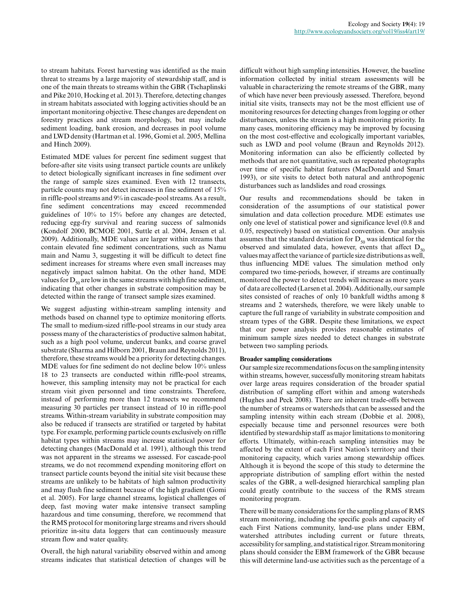to stream habitats. Forest harvesting was identified as the main threat to streams by a large majority of stewardship staff, and is one of the main threats to streams within the GBR (Tschaplinski and Pike 2010, Hocking et al. 2013). Therefore, detecting changes in stream habitats associated with logging activities should be an important monitoring objective. These changes are dependent on forestry practices and stream morphology, but may include sediment loading, bank erosion, and decreases in pool volume and LWD density (Hartman et al. 1996, Gomi et al. 2005, Mellina and Hinch 2009).

Estimated MDE values for percent fine sediment suggest that before-after site visits using transect particle counts are unlikely to detect biologically significant increases in fine sediment over the range of sample sizes examined. Even with 12 transects, particle counts may not detect increases in fine sediment of 15% in riffle-pool streams and 9% in cascade-pool streams. As a result, fine sediment concentrations may exceed recommended guidelines of 10% to 15% before any changes are detected, reducing egg-fry survival and rearing success of salmonids (Kondolf 2000, BCMOE 2001, Suttle et al. 2004, Jensen et al. 2009). Additionally, MDE values are larger within streams that contain elevated fine sediment concentrations, such as Namu main and Namu 3, suggesting it will be difficult to detect fine sediment increases for streams where even small increases may negatively impact salmon habitat. On the other hand, MDE values for  $D_{50}$  are low in the same streams with high fine sediment, indicating that other changes in substrate composition may be detected within the range of transect sample sizes examined.

We suggest adjusting within-stream sampling intensity and methods based on channel type to optimize monitoring efforts. The small to medium-sized riffle-pool streams in our study area possess many of the characteristics of productive salmon habitat, such as a high pool volume, undercut banks, and coarse gravel substrate (Sharma and Hilborn 2001, Braun and Reynolds 2011), therefore, these streams would be a priority for detecting changes. MDE values for fine sediment do not decline below 10% unless 18 to 23 transects are conducted within riffle-pool streams, however, this sampling intensity may not be practical for each stream visit given personnel and time constraints. Therefore, instead of performing more than 12 transects we recommend measuring 30 particles per transect instead of 10 in riffle-pool streams. Within-stream variability in substrate composition may also be reduced if transects are stratified or targeted by habitat type. For example, performing particle counts exclusively on riffle habitat types within streams may increase statistical power for detecting changes (MacDonald et al. 1991), although this trend was not apparent in the streams we assessed. For cascade-pool streams, we do not recommend expending monitoring effort on transect particle counts beyond the initial site visit because these streams are unlikely to be habitats of high salmon productivity and may flush fine sediment because of the high gradient (Gomi et al. 2005). For large channel streams, logistical challenges of deep, fast moving water make intensive transect sampling hazardous and time consuming, therefore, we recommend that the RMS protocol for monitoring large streams and rivers should prioritize in-situ data loggers that can continuously measure stream flow and water quality.

Overall, the high natural variability observed within and among streams indicates that statistical detection of changes will be difficult without high sampling intensities. However, the baseline information collected by initial stream assessments will be valuable in characterizing the remote streams of the GBR, many of which have never been previously assessed. Therefore, beyond initial site visits, transects may not be the most efficient use of monitoring resources for detecting changes from logging or other disturbances, unless the stream is a high monitoring priority. In many cases, monitoring efficiency may be improved by focusing on the most cost-effective and ecologically important variables, such as LWD and pool volume (Braun and Reynolds 2012). Monitoring information can also be efficiently collected by methods that are not quantitative, such as repeated photographs over time of specific habitat features (MacDonald and Smart 1993), or site visits to detect both natural and anthropogenic disturbances such as landslides and road crossings.

Our results and recommendations should be taken in consideration of the assumptions of our statistical power simulation and data collection procedure. MDE estimates use only one level of statistical power and significance level (0.8 and 0.05, respectively) based on statistical convention. Our analysis assumes that the standard deviation for  $D_{50}$  was identical for the observed and simulated data, however, events that affect  $D_{50}$ values may affect the variance of particle size distributions as well, thus influencing MDE values. The simulation method only compared two time-periods, however, if streams are continually monitored the power to detect trends will increase as more years of data are collected (Larsen et al. 2004). Additionally, our sample sites consisted of reaches of only 10 bankfull widths among 8 streams and 2 watersheds, therefore, we were likely unable to capture the full range of variability in substrate composition and stream types of the GBR. Despite these limitations, we expect that our power analysis provides reasonable estimates of minimum sample sizes needed to detect changes in substrate between two sampling periods.

#### **Broader sampling considerations**

Our sample size recommendations focus on the sampling intensity within streams, however, successfully monitoring stream habitats over large areas requires consideration of the broader spatial distribution of sampling effort within and among watersheds (Hughes and Peck 2008). There are inherent trade-offs between the number of streams or watersheds that can be assessed and the sampling intensity within each stream (Dobbie et al. 2008), especially because time and personnel resources were both identified by stewardship staff as major limitations to monitoring efforts. Ultimately, within-reach sampling intensities may be affected by the extent of each First Nation's territory and their monitoring capacity, which varies among stewardship offices. Although it is beyond the scope of this study to determine the appropriate distribution of sampling effort within the nested scales of the GBR, a well-designed hierarchical sampling plan could greatly contribute to the success of the RMS stream monitoring program.

There will be many considerations for the sampling plans of RMS stream monitoring, including the specific goals and capacity of each First Nations community, land-use plans under EBM, watershed attributes including current or future threats, accessibility for sampling, and statistical rigor. Stream monitoring plans should consider the EBM framework of the GBR because this will determine land-use activities such as the percentage of a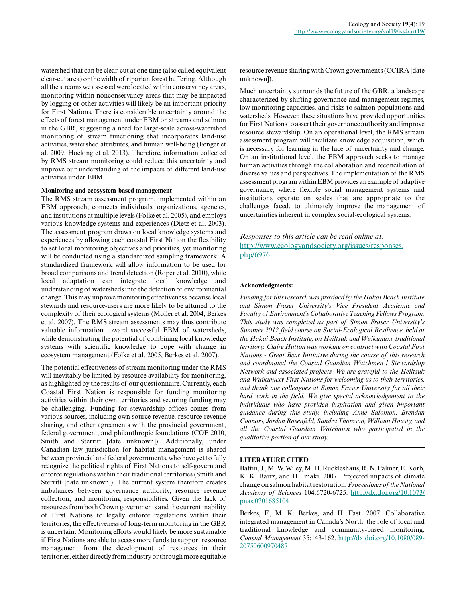watershed that can be clear-cut at one time (also called equivalent clear-cut area) or the width of riparian forest buffering. Although all the streams we assessed were located within conservancy areas, monitoring within nonconservancy areas that may be impacted by logging or other activities will likely be an important priority for First Nations. There is considerable uncertainty around the effects of forest management under EBM on streams and salmon in the GBR, suggesting a need for large-scale across-watershed monitoring of stream functioning that incorporates land-use activities, watershed attributes, and human well-being (Fenger et al. 2009, Hocking et al. 2013). Therefore, information collected by RMS stream monitoring could reduce this uncertainty and improve our understanding of the impacts of different land-use activities under EBM.

#### **Monitoring and ecosystem-based management**

The RMS stream assessment program, implemented within an EBM approach, connects individuals, organizations, agencies, and institutions at multiple levels (Folke et al. 2005), and employs various knowledge systems and experiences (Dietz et al. 2003). The assessment program draws on local knowledge systems and experiences by allowing each coastal First Nation the flexibility to set local monitoring objectives and priorities, yet monitoring will be conducted using a standardized sampling framework. A standardized framework will allow information to be used for broad comparisons and trend detection (Roper et al. 2010), while local adaptation can integrate local knowledge and understanding of watersheds into the detection of environmental change. This may improve monitoring effectiveness because local stewards and resource-users are more likely to be attuned to the complexity of their ecological systems (Moller et al. 2004, Berkes et al. 2007). The RMS stream assessments may thus contribute valuable information toward successful EBM of watersheds, while demonstrating the potential of combining local knowledge systems with scientific knowledge to cope with change in ecosystem management (Folke et al. 2005, Berkes et al. 2007).

The potential effectiveness of stream monitoring under the RMS will inevitably be limited by resource availability for monitoring, as highlighted by the results of our questionnaire. Currently, each Coastal First Nation is responsible for funding monitoring activities within their own territories and securing funding may be challenging. Funding for stewardship offices comes from various sources, including own source revenue, resource revenue sharing, and other agreements with the provincial government, federal government, and philanthropic foundations (COF 2010, Smith and Sterritt [date unknown]). Additionally, under Canadian law jurisdiction for habitat management is shared between provincial and federal governments, who have yet to fully recognize the political rights of First Nations to self-govern and enforce regulations within their traditional territories (Smith and Sterritt [date unknown]). The current system therefore creates imbalances between governance authority, resource revenue collection, and monitoring responsibilities. Given the lack of resources from both Crown governments and the current inability of First Nations to legally enforce regulations within their territories, the effectiveness of long-term monitoring in the GBR is uncertain. Monitoring efforts would likely be more sustainable if First Nations are able to access more funds to support resource management from the development of resources in their territories, either directly from industry or through more equitable

resource revenue sharing with Crown governments (CCIRA [date unknown]).

Much uncertainty surrounds the future of the GBR, a landscape characterized by shifting governance and management regimes, low monitoring capacities, and risks to salmon populations and watersheds. However, these situations have provided opportunities for First Nations to assert their governance authority and improve resource stewardship. On an operational level, the RMS stream assessment program will facilitate knowledge acquisition, which is necessary for learning in the face of uncertainty and change. On an institutional level, the EBM approach seeks to manage human activities through the collaboration and reconciliation of diverse values and perspectives. The implementation of the RMS assessment program within EBM provides an example of adaptive governance, where flexible social management systems and institutions operate on scales that are appropriate to the challenges faced, to ultimately improve the management of uncertainties inherent in complex social-ecological systems.

*Responses to this article can be read online at:* [http://www.ecologyandsociety.org/issues/responses.](http://www.ecologyandsociety.org/issues/responses.php/6976) [php/6976](http://www.ecologyandsociety.org/issues/responses.php/6976)

#### **Acknowledgments:**

*Funding for this research was provided by the Hakai Beach Institute and Simon Fraser University's Vice President Academic and Faculty of Environment's Collaborative Teaching Fellows Program. This study was completed as part of Simon Fraser University's Summer 2012 field course on Social-Ecological Resilience, held at the Hakai Beach Institute, on Heiltsuk and Wuikunuxv traditional territory. Claire Hutton was working on contract with Coastal First Nations - Great Bear Initiative during the course of this research and coordinated the Coastal Guardian Watchmen / Stewardship Network and associated projects. We are grateful to the Heiltsuk and Wuikunuxv First Nations for welcoming us to their territories, and thank our colleagues at Simon Fraser University for all their hard work in the field. We give special acknowledgement to the individuals who have provided inspiration and given important guidance during this study, including Anne Salomon, Brendan Connors, Jordan Rosenfeld, Sandra Thomson, William Housty, and all the Coastal Guardian Watchmen who participated in the qualitative portion of our study.*

#### **LITERATURE CITED**

Battin, J., M. W. Wiley, M. H. Ruckleshaus, R. N. Palmer, E. Korb, K. K. Bartz, and H. Imaki. 2007. Projected impacts of climate change on salmon habitat restoration. *Proceedings of the National Academy of Sciences* 104:6720-6725. [http://dx.doi.org/10.1073/](http://dx.doi.org/10.1073%2Fpnas.0701685104) [pnas.0701685104](http://dx.doi.org/10.1073%2Fpnas.0701685104) 

Berkes, F., M. K. Berkes, and H. Fast. 2007. Collaborative integrated management in Canada's North: the role of local and traditional knowledge and community-based monitoring. *Coastal Management* 35:143-162. [http://dx.doi.org/10.1080/089](http://dx.doi.org/10.1080%2F08920750600970487) [20750600970487](http://dx.doi.org/10.1080%2F08920750600970487)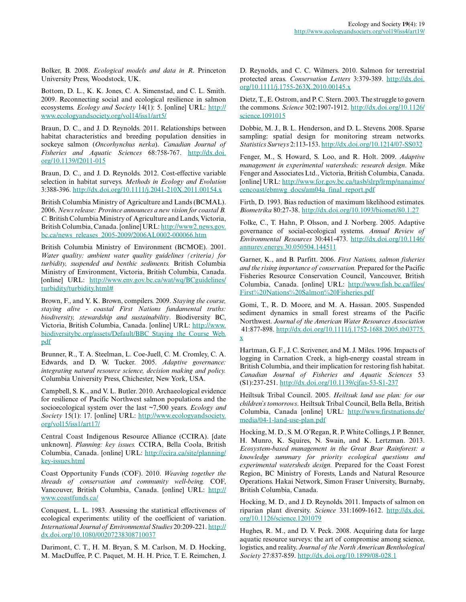Bolker, B. 2008. *Ecological models and data in R*. Princeton University Press, Woodstock, UK.

Bottom, D. L., K. K. Jones, C. A. Simenstad, and C. L. Smith. 2009. Reconnecting social and ecological resilience in salmon ecosystems. *Ecology and Society* 14(1): 5. [online] URL: [http://](http://www.ecologyandsociety.org/vol14/iss1/art5/) [www.ecologyandsociety.org/vol14/iss1/art5/](http://www.ecologyandsociety.org/vol14/iss1/art5/) 

Braun, D. C., and J. D. Reynolds. 2011. Relationships between habitat characteristics and breeding population densities in sockeye salmon (*Oncorhynchus nerka*). *Canadian Journal of Fisheries and Aquatic Sciences* 68:758-767. [http://dx.doi.](http://dx.doi.org/10.1139%2Ff2011-015) [org/10.1139/f2011-015](http://dx.doi.org/10.1139%2Ff2011-015) 

Braun, D. C., and J. D. Reynolds. 2012. Cost-effective variable selection in habitat surveys. *Methods in Ecology and Evolution* 3:388-396. [http://dx.doi.org/10.1111/j.2041-210X.2011.00154.x](http://dx.doi.org/10.1111%2Fj.2041-210X.2011.00154.x) 

British Columbia Ministry of Agriculture and Lands (BCMAL). 2006. *News release: Province announces a new vision for coastal B. C.* British Columbia Ministry of Agriculture and Lands, Victoria, British Columbia, Canada. [online] URL: [http://www2.news.gov.](http://www2.news.gov.bc.ca/news_releases_2005-2009/2006AL0002-000066.htm) [bc.ca/news\\_releases\\_2005-2009/2006AL0002-000066.htm](http://www2.news.gov.bc.ca/news_releases_2005-2009/2006AL0002-000066.htm)

British Columbia Ministry of Environment (BCMOE). 2001. *Water quality: ambient water quality guidelines (criteria) for turbidity, suspended and benthic sediments.* British Columbia Ministry of Environment, Victoria, British Columbia, Canada. [online] URL: [http://www.env.gov.bc.ca/wat/wq/BCguidelines/](http://www.env.gov.bc.ca/wat/wq/BCguidelines/turbidity/turbidity.html#) [turbidity/turbidity.html#](http://www.env.gov.bc.ca/wat/wq/BCguidelines/turbidity/turbidity.html#)

Brown, F., and Y. K. Brown, compilers. 2009. *Staying the course, staying alive - coastal First Nations fundamental truths: biodiversity, stewardship and sustainability*. Biodiversity BC, Victoria, British Columbia, Canada. [online] URL: [http://www.](http://www.biodiversitybc.org/assets/Default/BBC_Staying_the_Course_Web.pdf) [biodiversitybc.org/assets/Default/BBC\\_Staying\\_the\\_Course\\_Web.](http://www.biodiversitybc.org/assets/Default/BBC_Staying_the_Course_Web.pdf) [pdf](http://www.biodiversitybc.org/assets/Default/BBC_Staying_the_Course_Web.pdf)

Brunner, R., T. A. Steelman, L. Coe-Juell, C. M. Cromley, C. A. Edwards, and D. W. Tucker. 2005. *Adaptive governance: integrating natural resource science, decision making and policy.* Columbia University Press, Chichester, New York, USA.

Campbell, S. K., and V. L. Butler. 2010. Archaeological evidence for resilience of Pacific Northwest salmon populations and the socioecological system over the last ~7,500 years. *Ecology and Society* 15(1): 17. [online] URL: [http://www.ecologyandsociety.](http://www.ecologyandsociety.org/vol15/iss1/art17/) [org/vol15/iss1/art17/](http://www.ecologyandsociety.org/vol15/iss1/art17/)

Central Coast Indigenous Resource Alliance (CCIRA). [date unknown]. *Planning: key issues.* CCIRA, Bella Coola, British Columbia, Canada. [online] URL: [http://ccira.ca/site/planning/](http://ccira.ca/site/planning/key-issues.html) [key-issues.html](http://ccira.ca/site/planning/key-issues.html) 

Coast Opportunity Funds (COF). 2010. *Weaving together the threads of conservation and community well-being.* COF, Vancouver, British Columbia, Canada. [online] URL: [http://](http://www.coastfunds.ca/) [www.coastfunds.ca/](http://www.coastfunds.ca/)

Conquest, L. L. 1983. Assessing the statistical effectiveness of ecological experiments: utility of the coefficient of variation. *International Journal of Environmental Studies* 20:209-221. [http://](http://dx.doi.org/10.1080%2F00207238308710037) [dx.doi.org/10.1080/00207238308710037](http://dx.doi.org/10.1080%2F00207238308710037)

Darimont, C. T., H. M. Bryan, S. M. Carlson, M. D. Hocking, M. MacDuffee, P. C. Paquet, M. H. H. Price, T. E. Reimchen, J. D. Reynolds, and C. C. Wilmers. 2010. Salmon for terrestrial protected areas. *Conservation Letters* 3:379-389. [http://dx.doi.](http://dx.doi.org/10.1111%2Fj.1755-263X.2010.00145.x) [org/10.1111/j.1755-263X.2010.00145.x](http://dx.doi.org/10.1111%2Fj.1755-263X.2010.00145.x) 

Dietz, T., E. Ostrom, and P. C. Stern. 2003. The struggle to govern the commons. *Science* 302:1907-1912. [http://dx.doi.org/10.1126/](http://dx.doi.org/10.1126%2Fscience.1091015) [science.1091015](http://dx.doi.org/10.1126%2Fscience.1091015)

Dobbie, M. J., B. L. Henderson, and D. L. Stevens. 2008. Sparse sampling: spatial design for monitoring stream networks. *Statistics Surveys* 2:113-153. [http://dx.doi.org/10.1214/07-SS032](http://dx.doi.org/10.1214%2F07-SS032) 

Fenger, M., S. Howard, S. Loo, and R. Holt. 2009. *Adaptive management in experimental watersheds: research design*. Mike Fenger and Associates Ltd., Victoria, British Columbia, Canada. [online] URL: [http://www.for.gov.bc.ca/tasb/slrp/lrmp/nanaimo/](http://www.for.gov.bc.ca/tasb/slrp/lrmp/nanaimo/cencoast/ebmwg_docs/am04a_final_report.pdf) [cencoast/ebmwg\\_docs/am04a\\_final\\_report.pdf](http://www.for.gov.bc.ca/tasb/slrp/lrmp/nanaimo/cencoast/ebmwg_docs/am04a_final_report.pdf)

Firth, D. 1993. Bias reduction of maximum likelihood estimates. *Biometrika* 80:27-38. [http://dx.doi.org/10.1093/biomet/80.1.27](http://dx.doi.org/10.1093%2Fbiomet%2F80.1.27)

Folke, C., T. Hahn, P. Olsson, and J. Norberg. 2005. Adaptive governance of social-ecological systems. *Annual Review of Environmental Resources* 30:441-473. [http://dx.doi.org/10.1146/](http://dx.doi.org/10.1146%2Fannurev.energy.30.050504.144511) [annurev.energy.30.050504.144511](http://dx.doi.org/10.1146%2Fannurev.energy.30.050504.144511) 

Garner, K., and B. Parfitt. 2006. *First Nations, salmon fisheries and the rising importance of conservation.* Prepared for the Pacific Fisheries Resource Conservation Council, Vancouver, British Columbia, Canada. [online] URL: [http://www.fish.bc.ca/files/](http://www.fish.bc.ca/files/First%20Nations%20Salmon%20Fisheries.pdf) [First%20Nations%20Salmon%20Fisheries.pdf](http://www.fish.bc.ca/files/First%20Nations%20Salmon%20Fisheries.pdf)

Gomi, T., R. D. Moore, and M. A. Hassan. 2005. Suspended sediment dynamics in small forest streams of the Pacific Northwest. *Journal of the American Water Resources Association* 41:877-898. [http://dx.doi.org/10.1111/j.1752-1688.2005.tb03775.](http://dx.doi.org/10.1111%2Fj.1752-1688.2005.tb03775.x) [x](http://dx.doi.org/10.1111%2Fj.1752-1688.2005.tb03775.x) 

Hartman, G. F., J. C. Scrivener, and M. J. Miles. 1996. Impacts of logging in Carnation Creek, a high-energy coastal stream in British Columbia, and their implication for restoring fish habitat. *Canadian Journal of Fisheries and Aquatic Sciences* 53 (S1):237-251. [http://dx.doi.org/10.1139/cjfas-53-S1-237](http://dx.doi.org/10.1139%2Fcjfas-53-S1-237)

Heiltsuk Tribal Council. 2005. *Heiltsuk land use plan: for our children's tomorrows*. Heiltsuk Tribal Council, Bella Bella, British Columbia, Canada [online] URL: [http://www.firstnations.de/](http://www.firstnations.de/media/04-1-land-use-plan.pdf) [media/04-1-land-use-plan.pdf](http://www.firstnations.de/media/04-1-land-use-plan.pdf)

Hocking, M. D., S. M. O'Regan, R. P. White Collings, J. P. Benner, H. Munro, K. Squires, N. Swain, and K. Lertzman. 2013. *Ecosystem-based management in the Great Bear Rainforest: a knowledge summary for priority ecological questions and experimental watersheds design.* Prepared for the Coast Forest Region, BC Ministry of Forests, Lands and Natural Resource Operations. Hakai Network, Simon Fraser University, Burnaby, British Columbia, Canada.

Hocking, M. D., and J. D. Reynolds. 2011. Impacts of salmon on riparian plant diversity. *Science* 331:1609-1612. [http://dx.doi.](http://dx.doi.org/10.1126%2Fscience.1201079) [org/10.1126/science.1201079](http://dx.doi.org/10.1126%2Fscience.1201079)

Hughes, R. M., and D. V. Peck. 2008. Acquiring data for large aquatic resource surveys: the art of compromise among science, logistics, and reality. *Journal of the North American Benthological Society* 27:837-859. [http://dx.doi.org/10.1899/08-028.1](http://dx.doi.org/10.1899%2F08-028.1)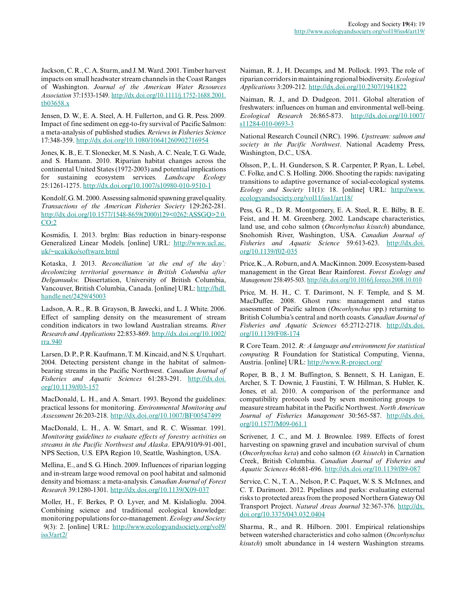Jackson, C. R., C. A. Sturm, and J. M. Ward. 2001. Timber harvest impacts on small headwater stream channels in the Coast Ranges of Washington. *Journal of the American Water Resources Association* 37:1533-1549. [http://dx.doi.org/10.1111/j.1752-1688.2001.](http://dx.doi.org/10.1111%2Fj.1752-1688.2001.tb03658.x) [tb03658.x](http://dx.doi.org/10.1111%2Fj.1752-1688.2001.tb03658.x)

Jensen, D. W., E. A. Steel, A. H. Fullerton, and G. R. Pess. 2009. Impact of fine sediment on egg-to-fry survival of Pacific Salmon: a meta-analysis of published studies. *Reviews in Fisheries Science* 17:348-359. [http://dx.doi.org/10.1080/10641260902716954](http://dx.doi.org/10.1080%2F10641260902716954) 

Jones, K. B., E. T. Slonecker, M. S. Nash, A. C. Neale, T. G. Wade, and S. Hamann. 2010. Riparian habitat changes across the continental United States (1972-2003) and potential implications for sustaining ecosystem services. *Landscape Ecology* 25:1261-1275. [http://dx.doi.org/10.1007/s10980-010-9510-1](http://dx.doi.org/10.1007%2Fs10980-010-9510-1)

Kondolf, G. M. 2000. Assessing salmonid spawning gravel quality. *Transactions of the American Fisheries Society* 129:262-281. [http://dx.doi.org/10.1577/1548-8659\(2000\)129<0262:ASSGQ>2.0.](http://dx.doi.org/10.1577%2F1548-8659%282000%29129%3C0262%3AASSGQ%3E2.0.CO%3B2)  $CO:2$ 

Kosmidis, I. 2013. brglm: Bias reduction in binary-response Generalized Linear Models. [online] URL: [http://www.ucl.ac.](http://www.ucl.ac.uk/~ucakiko/software.html) [uk/~ucakiko/software.html](http://www.ucl.ac.uk/~ucakiko/software.html)

Kotaska, J. 2013. *Reconciliation 'at the end of the day': decolonizing territorial governance in British Columbia after Delgamuukw.* Dissertation, University of British Columbia, Vancouver, British Columbia, Canada. [online] URL: [http://hdl.](http://hdl.handle.net/2429/45003) [handle.net/2429/45003](http://hdl.handle.net/2429/45003)

Ladson, A. R., R. B. Grayson, B. Jawecki, and L. J. White. 2006. Effect of sampling density on the measurement of stream condition indicators in two lowland Australian streams. *River Research and Applications* 22:853-869. [http://dx.doi.org/10.1002/](http://dx.doi.org/10.1002%2Frra.940) [rra.940](http://dx.doi.org/10.1002%2Frra.940)

Larsen, D. P., P. R. Kaufmann, T. M. Kincaid, and N. S. Urquhart. 2004. Detecting persistent change in the habitat of salmonbearing streams in the Pacific Northwest. *Canadian Journal of Fisheries and Aquatic Sciences* 61:283-291. [http://dx.doi.](http://dx.doi.org/10.1139%2Ff03-157) [org/10.1139/f03-157](http://dx.doi.org/10.1139%2Ff03-157) 

MacDonald, L. H., and A. Smart. 1993. Beyond the guidelines: practical lessons for monitoring. *Environmental Monitoring and Assessment* 26:203-218. [http://dx.doi.org/10.1007/BF00547499](http://dx.doi.org/10.1007%2FBF00547499)

MacDonald, L. H., A. W. Smart, and R. C. Wissmar. 1991. *Monitoring guidelines to evaluate effects of forestry activities on streams in the Pacific Northwest and Alaska*. EPA/910/9-91-001, NPS Section, U.S. EPA Region 10, Seattle, Washington, USA.

Mellina, E., and S. G. Hinch. 2009. Influences of riparian logging and in-stream large wood removal on pool habitat and salmonid density and biomass: a meta-analysis. *Canadian Journal of Forest Research* 39:1280-1301. [http://dx.doi.org/10.1139/X09-037](http://dx.doi.org/10.1139%2FX09-037) 

Moller, H., F. Berkes, P. O. Lyver, and M. Kislalioglu. 2004. Combining science and traditional ecological knowledge: monitoring populations for co-management. *Ecology and Society* 9(3): 2. [online] URL: [http://www.ecologyandsociety.org/vol9/](http://www.ecologyandsociety.org/vol9/iss3/art2/) [iss3/art2/](http://www.ecologyandsociety.org/vol9/iss3/art2/)

Naiman, R. J., H. Decamps, and M. Pollock. 1993. The role of riparian corridors in maintaining regional biodiversity. *Ecological Applications* 3:209-212. [http://dx.doi.org/10.2307/1941822](http://dx.doi.org/10.2307%2F1941822)

Naiman, R. J., and D. Dudgeon. 2011. Global alteration of freshwaters: influences on human and environmental well-being. *Ecological Research* 26:865-873. [http://dx.doi.org/10.1007/](http://dx.doi.org/10.1007%2Fs11284-010-0693-3) s11284-010-0693-3

National Research Council (NRC). 1996. *Upstream: salmon and society in the Pacific Northwest*. National Academy Press, Washington, D.C., USA.

Olsson, P., L. H. Gunderson, S. R. Carpenter, P. Ryan, L. Lebel, C. Folke, and C. S. Holling. 2006. Shooting the rapids: navigating transitions to adaptive governance of social-ecological systems. *Ecology and Society* 11(1): 18. [online] URL: [http://www.](http://www.ecologyandsociety.org/vol11/iss1/art18/) [ecologyandsociety.org/vol11/iss1/art18/](http://www.ecologyandsociety.org/vol11/iss1/art18/)

Pess, G. R., D. R. Montgomery, E. A. Steel, R. E. Bilby, B. E. Feist, and H. M. Greenberg. 2002. Landscape characteristics, land use, and coho salmon (*Oncorhynchus kisutch*) abundance, Snohomish River, Washington, USA. *Canadian Journal of Fisheries and Aquatic Science* 59:613-623. [http://dx.doi.](http://dx.doi.org/10.1139%2Ff02-035) [org/10.1139/f02-035](http://dx.doi.org/10.1139%2Ff02-035) 

Price, K., A. Roburn, and A. MacKinnon. 2009. Ecosystem-based management in the Great Bear Rainforest. *Forest Ecology and Management* 258:495-503. [http://dx.doi.org/10.1016/j.foreco.2008.10.010](http://dx.doi.org/10.1016%2Fj.foreco.2008.10.010)

Price, M. H. H., C. T. Darimont, N. F. Temple, and S. M. MacDuffee. 2008. Ghost runs: management and status assessment of Pacific salmon (*Oncorhynchus* spp.) returning to British Columbia's central and north coasts. *Canadian Journal of Fisheries and Aquatic Sciences* 65:2712-2718. [http://dx.doi.](http://dx.doi.org/10.1139%2FF08-174) [org/10.1139/F08-174](http://dx.doi.org/10.1139%2FF08-174) 

R Core Team. 2012. *R: A language and environment for statistical computing.* R Foundation for Statistical Computing, Vienna, Austria. [online] URL: <http://www.R-project.org/>

Roper, B. B., J. M. Buffington, S. Bennett, S. H. Lanigan, E. Archer, S. T. Downie, J. Faustini, T. W. Hillman, S. Hubler, K. Jones, et al. 2010. A comparison of the performance and compatibility protocols used by seven monitoring groups to measure stream habitat in the Pacific Northwest. *North American Journal of Fisheries Management* 30:565-587. [http://dx.doi.](http://dx.doi.org/10.1577%2FM09-061.1) [org/10.1577/M09-061.1](http://dx.doi.org/10.1577%2FM09-061.1) 

Scrivener, J. C., and M. J. Brownlee. 1989. Effects of forest harvesting on spawning gravel and incubation survival of chum (*Oncorhynchus keta*) and coho salmon (*O. kisutch*) in Carnation Creek, British Columbia. *Canadian Journal of Fisheries and Aquatic Sciences* 46:681-696. [http://dx.doi.org/10.1139/f89-087](http://dx.doi.org/10.1139%2Ff89-087)

Service, C. N., T. A., Nelson, P. C. Paquet, W. S. S. McInnes, and C. T. Darimont. 2012. Pipelines and parks: evaluating external risks to protected areas from the proposed Northern Gateway Oil Transport Project. *Natural Areas Journal* 32:367-376. [http://dx.](http://dx.doi.org/10.3375%2F043.032.0404) [doi.org/10.3375/043.032.0404](http://dx.doi.org/10.3375%2F043.032.0404) 

Sharma, R., and R. Hilborn. 2001. Empirical relationships between watershed characteristics and coho salmon (*Oncorhynchus kisutch*) smolt abundance in 14 western Washington streams.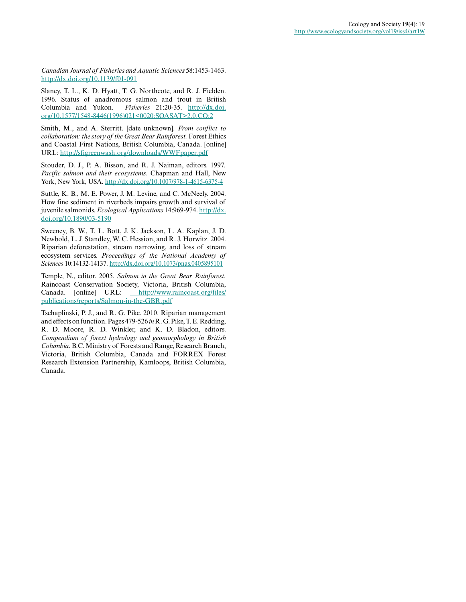*Canadian Journal of Fisheries and Aquatic Sciences* 58:1453-1463. [http://dx.doi.org/10.1139/f01-091](http://dx.doi.org/10.1139%2Ff01-091) 

Slaney, T. L., K. D. Hyatt, T. G. Northcote, and R. J. Fielden. 1996. Status of anadromous salmon and trout in British Columbia and Yukon. *Fisheries* 21:20-35. [http://dx.doi.](http://dx.doi.org/10.1577%2F1548-8446%281996%29021%3C0020%3ASOASAT%3E2.0.CO%3B2) [org/10.1577/1548-8446\(1996\)021<0020:SOASAT>2.0.CO;2](http://dx.doi.org/10.1577%2F1548-8446%281996%29021%3C0020%3ASOASAT%3E2.0.CO%3B2)

Smith, M., and A. Sterritt. [date unknown]. *From conflict to collaboration: the story of the Great Bear Rainforest.* Forest Ethics and Coastal First Nations, British Columbia, Canada. [online] URL:<http://sfigreenwash.org/downloads/WWFpaper.pdf>

Stouder, D. J., P. A. Bisson, and R. J. Naiman, editors. 1997*. Pacific salmon and their ecosystems*. Chapman and Hall, New York, New York, USA. [http://dx.doi.org/10.1007/978-1-4615-6375-4](http://dx.doi.org/10.1007%2F978-1-4615-6375-4) 

Suttle, K. B., M. E. Power, J. M. Levine, and C. McNeely. 2004. How fine sediment in riverbeds impairs growth and survival of juvenile salmonids. *Ecological Applications* 14:969-974. [http://dx.](http://dx.doi.org/10.1890%2F03-5190) [doi.org/10.1890/03-5190](http://dx.doi.org/10.1890%2F03-5190) 

Sweeney, B. W., T. L. Bott, J. K. Jackson, L. A. Kaplan, J. D. Newbold, L. J. Standley, W. C. Hession, and R. J. Horwitz. 2004. Riparian deforestation, stream narrowing, and loss of stream ecosystem services. *Proceedings of the National Academy of Sciences* 10:14132-14137. [http://dx.doi.org/10.1073/pnas.0405895101](http://dx.doi.org/10.1073%2Fpnas.0405895101) 

Temple, N., editor. 2005. *Salmon in the Great Bear Rainforest.* Raincoast Conservation Society, Victoria, British Columbia, Canada. [online] URL: [http://www.raincoast.org/files/](http://www.raincoast.org/files/publications/reports/Salmon-in-the-GBR.pdf) [publications/reports/Salmon-in-the-GBR.pdf](http://www.raincoast.org/files/publications/reports/Salmon-in-the-GBR.pdf)

Tschaplinski, P. J., and R. G. Pike. 2010. Riparian management and effects on function. Pages 479-526 *in* R. G. Pike, T. E. Redding, R. D. Moore, R. D. Winkler, and K. D. Bladon, editors. *Compendium of forest hydrology and geomorphology in British Columbia*. B.C. Ministry of Forests and Range, Research Branch, Victoria, British Columbia, Canada and FORREX Forest Research Extension Partnership, Kamloops, British Columbia, Canada.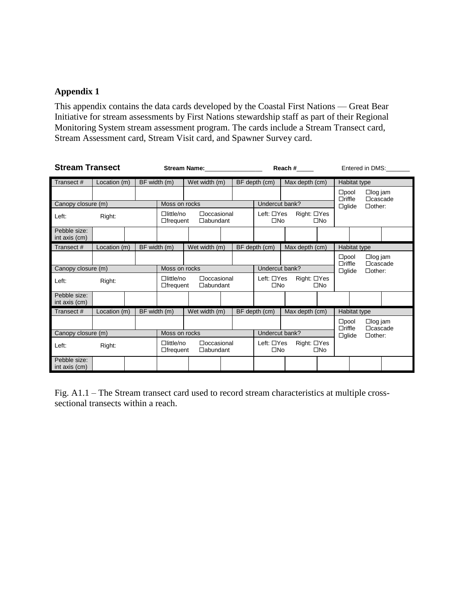## **Appendix 1**

This appendix contains the data cards developed by the Coastal First Nations — Great Bear Initiative for stream assessments by First Nations stewardship staff as part of their Regional Monitoring System stream assessment program. The cards include a Stream Transect card, Stream Assessment card, Stream Visit card, and Spawner Survey card.

| <b>Stream Transect</b>        |              |               | Stream Name: Name:                                                          |                                      |  |                                                           |                                                                 | Reach #                     |                                 | Entered in DMS:                 |                                  |                                  |  |
|-------------------------------|--------------|---------------|-----------------------------------------------------------------------------|--------------------------------------|--|-----------------------------------------------------------|-----------------------------------------------------------------|-----------------------------|---------------------------------|---------------------------------|----------------------------------|----------------------------------|--|
| Transect#                     | Location (m) | BF width (m)  |                                                                             | Wet width (m)                        |  |                                                           | BF depth (cm)<br>Max depth (cm)                                 |                             |                                 |                                 | Habitat type                     |                                  |  |
|                               |              |               |                                                                             |                                      |  |                                                           |                                                                 |                             | $\square$ pool<br>$\Box$ riffle |                                 | $\Box$ log jam<br>$\Box$ cascade |                                  |  |
| Canopy closure (m)            |              |               | Moss on rocks                                                               |                                      |  |                                                           | Undercut bank?                                                  |                             |                                 | $\Box$ other:<br>$\Box$ glide   |                                  |                                  |  |
| Left:                         | Right:       |               | $D$ little/no<br>$\Box$ occasional<br>$\Box$ abundant<br>$\Box$ frequent    |                                      |  | Right: □Yes<br>Left: □Yes<br>$\square$ No<br>$\square$ No |                                                                 |                             |                                 |                                 |                                  |                                  |  |
| Pebble size:<br>int axis (cm) |              |               |                                                                             |                                      |  |                                                           |                                                                 |                             |                                 |                                 |                                  |                                  |  |
| Transect#                     | Location (m) | BF width (m)  |                                                                             | Wet width (m)                        |  |                                                           | BF depth (cm)                                                   | Max depth (cm)              |                                 | Habitat type                    |                                  |                                  |  |
|                               |              |               |                                                                             |                                      |  |                                                           |                                                                 |                             |                                 | $\square$ pool<br>$\Box$ riffle | $\Box$ log jam<br>$\Box$ cascade |                                  |  |
| Canopy closure (m)            |              |               | Moss on rocks                                                               |                                      |  |                                                           | Undercut bank?                                                  |                             |                                 | $\Box$ glide                    |                                  | $\Box$ other:                    |  |
| Left:                         | Right:       |               | $\Box$ little/no<br>$\Box$ frequent                                         | $\Box$ occasional<br>$\Box$ abundant |  |                                                           | Right: □Yes<br>Left: $\Box$ Yes<br>$\square$ No<br>$\square$ No |                             |                                 |                                 |                                  |                                  |  |
| Pebble size:<br>int axis (cm) |              |               |                                                                             |                                      |  |                                                           |                                                                 |                             |                                 |                                 |                                  |                                  |  |
| Transect#                     | Location (m) | BF width (m)  |                                                                             | Wet width (m)                        |  |                                                           | BF depth (cm)                                                   | Max depth (cm)              |                                 |                                 | Habitat type                     |                                  |  |
|                               |              |               |                                                                             |                                      |  |                                                           |                                                                 |                             |                                 | $\square$ pool<br>$\Box$ riffle |                                  | $\Box$ log jam<br>$\Box$ cascade |  |
| Canopy closure (m)            |              | Moss on rocks |                                                                             |                                      |  | Undercut bank?                                            |                                                                 |                             | $\Box$ glide                    |                                 | $\Box$ other:                    |                                  |  |
| Left:                         | Right:       |               | $\Box$ little/no<br>$\Box$ occasional<br>$\Box$ abundant<br>$\Box$ frequent |                                      |  |                                                           | Left: $\Box$ Yes<br>$\square$ No                                | Right: □Yes<br>$\square$ No |                                 |                                 |                                  |                                  |  |
| Pebble size:<br>int axis (cm) |              |               |                                                                             |                                      |  |                                                           |                                                                 |                             |                                 |                                 |                                  |                                  |  |

Fig. A1.1 – The Stream transect card used to record stream characteristics at multiple crosssectional transects within a reach.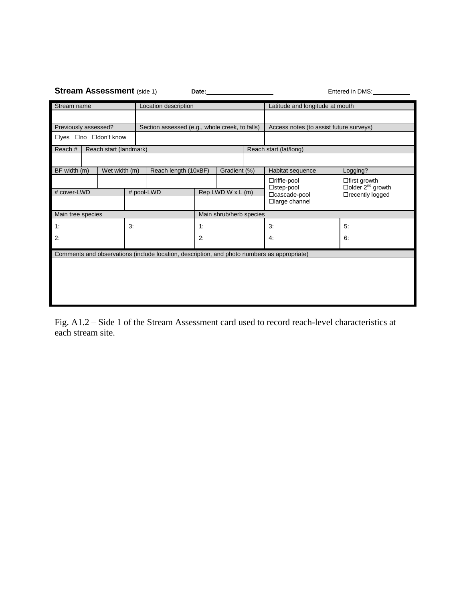|                                                                        |                           | <b>Stream Assessment (side 1)</b>     |    |                                                                                             |                   |                         |  | Entered in DMS:                                          |                                                                    |  |  |  |
|------------------------------------------------------------------------|---------------------------|---------------------------------------|----|---------------------------------------------------------------------------------------------|-------------------|-------------------------|--|----------------------------------------------------------|--------------------------------------------------------------------|--|--|--|
| Stream name                                                            |                           |                                       |    | Location description                                                                        |                   |                         |  | Latitude and longitude at mouth                          |                                                                    |  |  |  |
|                                                                        |                           |                                       |    |                                                                                             |                   |                         |  |                                                          |                                                                    |  |  |  |
| Previously assessed?<br>Section assessed (e.g., whole creek, to falls) |                           |                                       |    |                                                                                             |                   |                         |  | Access notes (to assist future surveys)                  |                                                                    |  |  |  |
| □yes □no □don't know                                                   |                           |                                       |    |                                                                                             |                   |                         |  |                                                          |                                                                    |  |  |  |
| Reach#                                                                 |                           | Reach start (landmark)                |    |                                                                                             |                   |                         |  | Reach start (lat/long)                                   |                                                                    |  |  |  |
|                                                                        |                           |                                       |    |                                                                                             |                   |                         |  |                                                          |                                                                    |  |  |  |
| BF width (m)                                                           |                           | Wet width (m)<br>Reach length (10xBF) |    |                                                                                             |                   | Gradient (%)            |  | Habitat sequence                                         | Logging?                                                           |  |  |  |
|                                                                        | # cover-LWD<br># pool-LWD |                                       |    |                                                                                             | Rep LWD W x L (m) |                         |  | $\Box$ riffle-pool<br>$\Box$ step-pool<br>□ cascade-pool | □ first growth<br>$\Box$ older $2^{nd}$ growth<br>□recently logged |  |  |  |
|                                                                        |                           |                                       |    |                                                                                             |                   |                         |  | □large channel                                           |                                                                    |  |  |  |
| Main tree species                                                      |                           |                                       |    |                                                                                             |                   | Main shrub/herb species |  |                                                          |                                                                    |  |  |  |
| 1:                                                                     |                           |                                       | 3: |                                                                                             | 1:                |                         |  | 3.                                                       | 5:                                                                 |  |  |  |
| 2:                                                                     |                           |                                       |    |                                                                                             | 2:                |                         |  | 4:                                                       | 6:                                                                 |  |  |  |
|                                                                        |                           |                                       |    | Comments and observations (include location, description, and photo numbers as appropriate) |                   |                         |  |                                                          |                                                                    |  |  |  |
|                                                                        |                           |                                       |    |                                                                                             |                   |                         |  |                                                          |                                                                    |  |  |  |

Fig. A1.2 – Side 1 of the Stream Assessment card used to record reach-level characteristics at each stream site.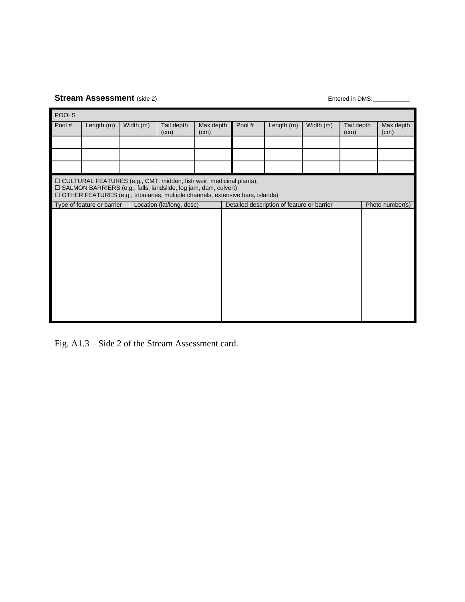# **Stream Assessment** (side 2) **Entered in DMS:** Entered in DMS: <u>Entered in DMS:</u>

| <b>POOLS</b> |                                                                                                                                                                                                                                |           |                           |                   |                                            |            |           |                    |  |                   |  |  |  |  |
|--------------|--------------------------------------------------------------------------------------------------------------------------------------------------------------------------------------------------------------------------------|-----------|---------------------------|-------------------|--------------------------------------------|------------|-----------|--------------------|--|-------------------|--|--|--|--|
| Pool #       | Length (m)                                                                                                                                                                                                                     | Width (m) | Tail depth<br>(cm)        | Max depth<br>(cm) | Pool #                                     | Length (m) | Width (m) | Tail depth<br>(cm) |  | Max depth<br>(cm) |  |  |  |  |
|              |                                                                                                                                                                                                                                |           |                           |                   |                                            |            |           |                    |  |                   |  |  |  |  |
|              |                                                                                                                                                                                                                                |           |                           |                   |                                            |            |           |                    |  |                   |  |  |  |  |
|              |                                                                                                                                                                                                                                |           |                           |                   |                                            |            |           |                    |  |                   |  |  |  |  |
|              | □ CULTURAL FEATURES (e.g., CMT, midden, fish weir, medicinal plants),<br>□ SALMON BARRIERS (e.g., falls, landslide, log jam, dam, culvert)<br>□ OTHER FEATURES (e.g., tributaries, multiple channels, extensive bars, islands) |           |                           |                   |                                            |            |           |                    |  |                   |  |  |  |  |
|              | Type of feature or barrier                                                                                                                                                                                                     |           | Location (lat/long, desc) |                   | Detailed description of feature or barrier |            |           | Photo number(s)    |  |                   |  |  |  |  |
|              |                                                                                                                                                                                                                                |           |                           |                   |                                            |            |           |                    |  |                   |  |  |  |  |

Fig. A1.3 – Side 2 of the Stream Assessment card.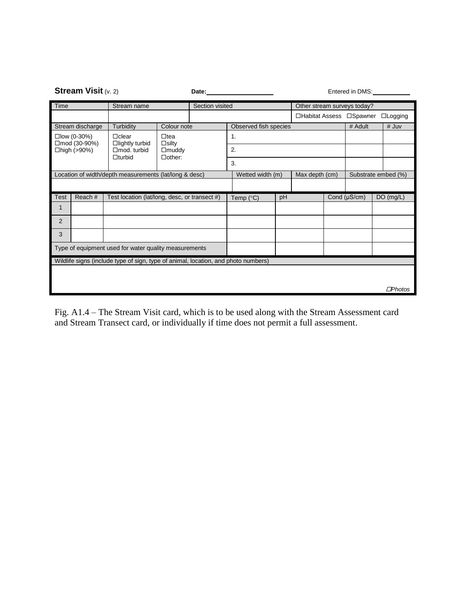|                                                        | <b>Stream Visit (v. 2)</b> |                                                                                    |                               | Date:                 | Entered in DMS:                    |    |                             |              |                     |                  |  |  |
|--------------------------------------------------------|----------------------------|------------------------------------------------------------------------------------|-------------------------------|-----------------------|------------------------------------|----|-----------------------------|--------------|---------------------|------------------|--|--|
| Time                                                   |                            | Stream name                                                                        |                               | Section visited       |                                    |    | Other stream surveys today? |              |                     |                  |  |  |
|                                                        |                            |                                                                                    |                               |                       |                                    |    | □Habitat Assess □Spawner    |              |                     | $\Box$ Logging   |  |  |
|                                                        | Stream discharge           | Turbidity                                                                          | Colour note                   | Observed fish species |                                    |    |                             | # Adult      | # Juv               |                  |  |  |
| $\square$ low (0-30%)<br>□mod (30-90%)<br>□high (>90%) |                            | $\Box$ clear<br>$\Box$ lightly turbid                                              | $\Box$ tea<br>$\Box$ silty    |                       | 1.                                 |    |                             |              |                     |                  |  |  |
|                                                        |                            | $\Box$ mod. turbid<br>$\Box$ turbid                                                | $\Box$ muddy<br>$\Box$ other: |                       | 2.                                 |    |                             |              |                     |                  |  |  |
|                                                        |                            |                                                                                    |                               |                       | 3.                                 |    |                             |              |                     |                  |  |  |
| Location of width/depth measurements (lat/long & desc) |                            |                                                                                    |                               |                       | Wetted width (m)<br>Max depth (cm) |    |                             |              | Substrate embed (%) |                  |  |  |
|                                                        |                            |                                                                                    |                               |                       |                                    |    |                             |              |                     |                  |  |  |
| <b>Test</b>                                            | Reach #                    | Test location (lat/long, desc, or transect #)                                      |                               |                       | Temp (°C)                          | pH |                             | Cond (µS/cm) |                     | DO(mg/L)         |  |  |
| 1                                                      |                            |                                                                                    |                               |                       |                                    |    |                             |              |                     |                  |  |  |
| $\overline{2}$                                         |                            |                                                                                    |                               |                       |                                    |    |                             |              |                     |                  |  |  |
| 3                                                      |                            |                                                                                    |                               |                       |                                    |    |                             |              |                     |                  |  |  |
|                                                        |                            | Type of equipment used for water quality measurements                              |                               |                       |                                    |    |                             |              |                     |                  |  |  |
|                                                        |                            | Wildlife signs (include type of sign, type of animal, location, and photo numbers) |                               |                       |                                    |    |                             |              |                     |                  |  |  |
|                                                        |                            |                                                                                    |                               |                       |                                    |    |                             |              |                     |                  |  |  |
|                                                        |                            |                                                                                    |                               |                       |                                    |    |                             |              |                     | $\square$ Photos |  |  |

Fig. A1.4 – The Stream Visit card, which is to be used along with the Stream Assessment card and Stream Transect card, or individually if time does not permit a full assessment.